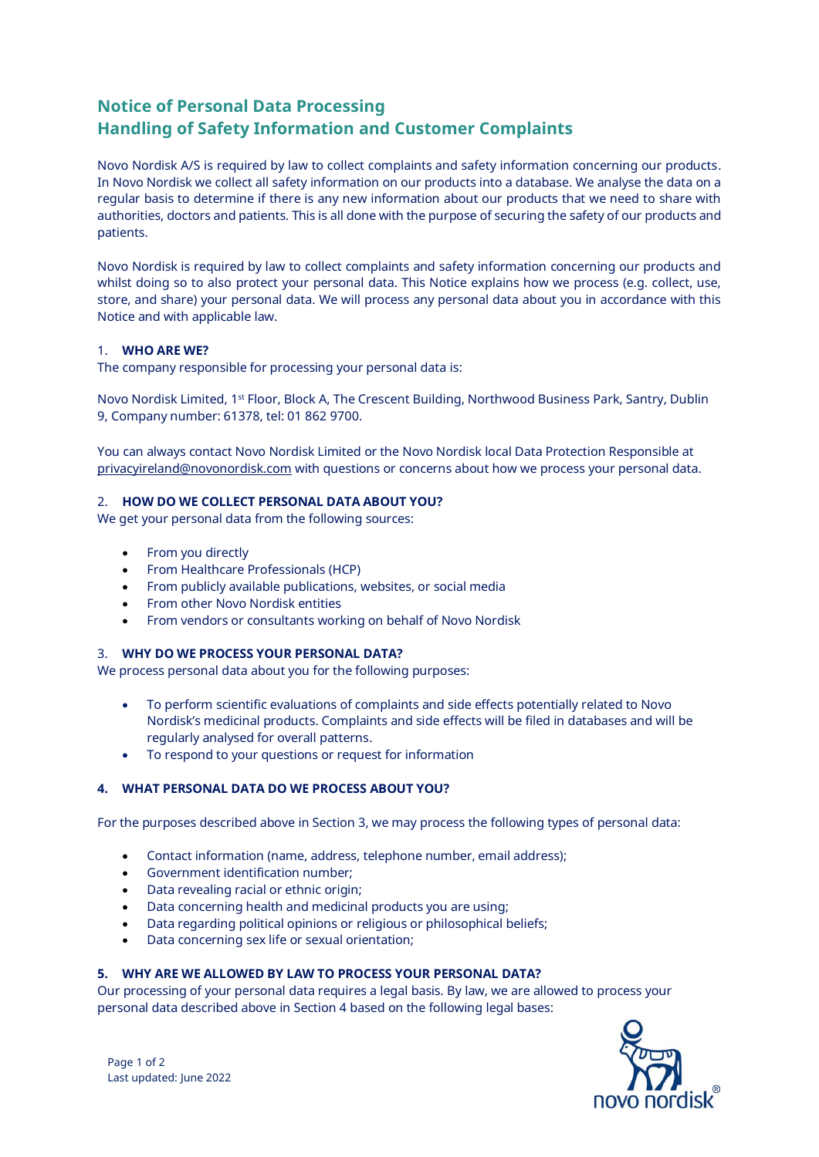# **Notice of Personal Data Processing Handling of Safety Information and Customer Complaints**

Novo Nordisk A/S is required by law to collect complaints and safety information concerning our products. In Novo Nordisk we collect all safety information on our products into a database. We analyse the data on a regular basis to determine if there is any new information about our products that we need to share with authorities, doctors and patients. This is all done with the purpose of securing the safety of our products and patients.

Novo Nordisk is required by law to collect complaints and safety information concerning our products and whilst doing so to also protect your personal data. This Notice explains how we process (e.g. collect, use, store, and share) your personal data. We will process any personal data about you in accordance with this Notice and with applicable law.

#### 1. **WHO ARE WE?**

The company responsible for processing your personal data is:

Novo Nordisk Limited, 1st Floor, Block A, The Crescent Building, Northwood Business Park, Santry, Dublin 9, Company number: 61378, tel: 01 862 9700.

You can always contact Novo Nordisk Limited or the Novo Nordisk local Data Protection Responsible at [privacyireland@novonordisk.com](mailto:privacyireland@novonordisk.com) with questions or concerns about how we process your personal data.

# 2. **HOW DO WE COLLECT PERSONAL DATA ABOUT YOU?**

We get your personal data from the following sources:

- From you directly
- From Healthcare Professionals (HCP)
- From publicly available publications, websites, or social media
- From other Novo Nordisk entities
- From vendors or consultants working on behalf of Novo Nordisk

#### 3. **WHY DO WE PROCESS YOUR PERSONAL DATA?**

We process personal data about you for the following purposes:

- To perform scientific evaluations of complaints and side effects potentially related to Novo Nordisk's medicinal products. Complaints and side effects will be filed in databases and will be regularly analysed for overall patterns.
- To respond to your questions or request for information

# **4. WHAT PERSONAL DATA DO WE PROCESS ABOUT YOU?**

For the purposes described above in Section 3, we may process the following types of personal data:

- Contact information (name, address, telephone number, email address);
- Government identification number;
- Data revealing racial or ethnic origin;
- Data concerning health and medicinal products you are using;
- Data regarding political opinions or religious or philosophical beliefs;
- Data concerning sex life or sexual orientation;

#### **5. WHY ARE WE ALLOWED BY LAW TO PROCESS YOUR PERSONAL DATA?**

Our processing of your personal data requires a legal basis. By law, we are allowed to process your personal data described above in Section 4 based on the following legal bases: